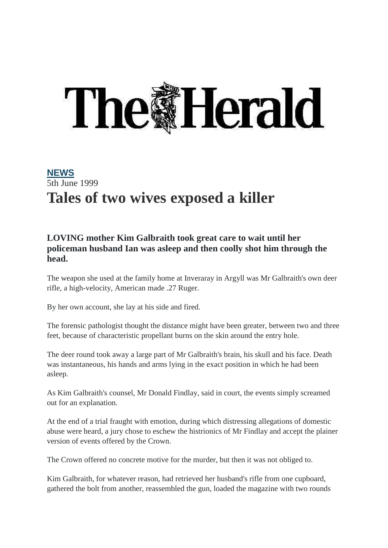## **The Herald**

## **[NEWS](https://www.heraldscotland.com/news/)** 5th June 1999 **Tales of two wives exposed a killer**

## **LOVING mother Kim Galbraith took great care to wait until her policeman husband Ian was asleep and then coolly shot him through the head.**

The weapon she used at the family home at Inveraray in Argyll was Mr Galbraith's own deer rifle, a high-velocity, American made .27 Ruger.

By her own account, she lay at his side and fired.

The forensic pathologist thought the distance might have been greater, between two and three feet, because of characteristic propellant burns on the skin around the entry hole.

The deer round took away a large part of Mr Galbraith's brain, his skull and his face. Death was instantaneous, his hands and arms lying in the exact position in which he had been asleep.

As Kim Galbraith's counsel, Mr Donald Findlay, said in court, the events simply screamed out for an explanation.

At the end of a trial fraught with emotion, during which distressing allegations of domestic abuse were heard, a jury chose to eschew the histrionics of Mr Findlay and accept the plainer version of events offered by the Crown.

The Crown offered no concrete motive for the murder, but then it was not obliged to.

Kim Galbraith, for whatever reason, had retrieved her husband's rifle from one cupboard, gathered the bolt from another, reassembled the gun, loaded the magazine with two rounds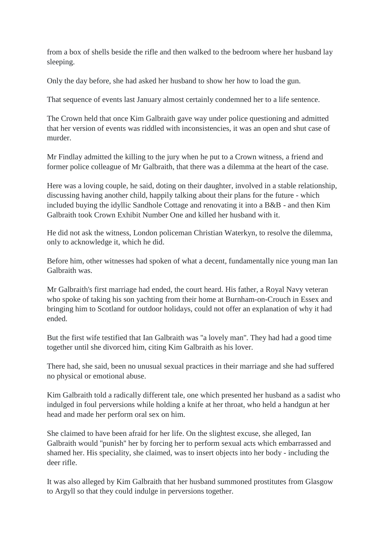from a box of shells beside the rifle and then walked to the bedroom where her husband lay sleeping.

Only the day before, she had asked her husband to show her how to load the gun.

That sequence of events last January almost certainly condemned her to a life sentence.

The Crown held that once Kim Galbraith gave way under police questioning and admitted that her version of events was riddled with inconsistencies, it was an open and shut case of murder.

Mr Findlay admitted the killing to the jury when he put to a Crown witness, a friend and former police colleague of Mr Galbraith, that there was a dilemma at the heart of the case.

Here was a loving couple, he said, doting on their daughter, involved in a stable relationship, discussing having another child, happily talking about their plans for the future - which included buying the idyllic Sandhole Cottage and renovating it into a B&B - and then Kim Galbraith took Crown Exhibit Number One and killed her husband with it.

He did not ask the witness, London policeman Christian Waterkyn, to resolve the dilemma, only to acknowledge it, which he did.

Before him, other witnesses had spoken of what a decent, fundamentally nice young man Ian Galbraith was.

Mr Galbraith's first marriage had ended, the court heard. His father, a Royal Navy veteran who spoke of taking his son yachting from their home at Burnham-on-Crouch in Essex and bringing him to Scotland for outdoor holidays, could not offer an explanation of why it had ended.

But the first wife testified that Ian Galbraith was ''a lovely man''. They had had a good time together until she divorced him, citing Kim Galbraith as his lover.

There had, she said, been no unusual sexual practices in their marriage and she had suffered no physical or emotional abuse.

Kim Galbraith told a radically different tale, one which presented her husband as a sadist who indulged in foul perversions while holding a knife at her throat, who held a handgun at her head and made her perform oral sex on him.

She claimed to have been afraid for her life. On the slightest excuse, she alleged, Ian Galbraith would ''punish'' her by forcing her to perform sexual acts which embarrassed and shamed her. His speciality, she claimed, was to insert objects into her body - including the deer rifle.

It was also alleged by Kim Galbraith that her husband summoned prostitutes from Glasgow to Argyll so that they could indulge in perversions together.